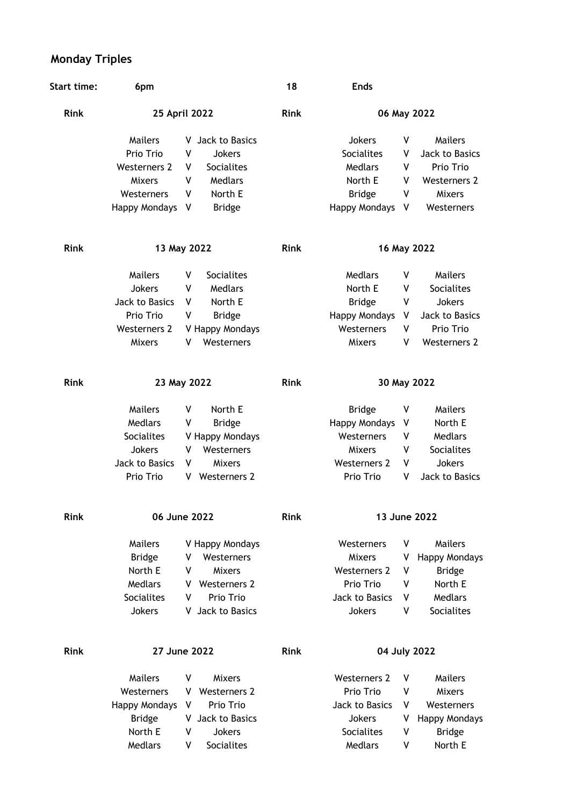## **Monday Triples**

| <b>Start time:</b> | 6pm                  |   |                     | 18          | <b>Ends</b>          |             |                      |
|--------------------|----------------------|---|---------------------|-------------|----------------------|-------------|----------------------|
| <b>Rink</b>        | 25 April 2022        |   |                     | Rink        |                      | 06 May 2022 |                      |
|                    | Mailers              | v | Jack to Basics      |             | <b>Jokers</b>        | ۷           | Mailers              |
|                    | Prio Trio            | ٧ | <b>Jokers</b>       |             | <b>Socialites</b>    | v           | Jack to Basics       |
|                    | Westerners 2         | ۷ | Socialites          |             | Medlars              | ۷           | Prio Trio            |
|                    | <b>Mixers</b>        | ٧ | Medlars             |             | North E              | v           | <b>Westerners 2</b>  |
|                    | Westerners           | ۷ | North E             |             | <b>Bridge</b>        | ٧           | <b>Mixers</b>        |
|                    | <b>Happy Mondays</b> | V | <b>Bridge</b>       |             | <b>Happy Mondays</b> | V           | Westerners           |
| <b>Rink</b>        | 13 May 2022          |   |                     | <b>Rink</b> | 16 May 2022          |             |                      |
|                    | Mailers              | ۷ | Socialites          |             | <b>Medlars</b>       | ۷           | <b>Mailers</b>       |
|                    | Jokers               | V | Medlars             |             | North E              | V           | Socialites           |
|                    | Jack to Basics       | ٧ | North E             |             | <b>Bridge</b>        | ٧           | Jokers               |
|                    | Prio Trio            | ٧ | <b>Bridge</b>       |             | <b>Happy Mondays</b> | V           | Jack to Basics       |
|                    | Westerners 2         |   | V Happy Mondays     |             | Westerners           | ۷           | Prio Trio            |
|                    | <b>Mixers</b>        | ۷ | Westerners          |             | Mixers               | ۷           | <b>Westerners 2</b>  |
| <b>Rink</b>        | 23 May 2022          |   |                     | <b>Rink</b> | 30 May 2022          |             |                      |
|                    | Mailers              | ۷ | North E             |             | <b>Bridge</b>        | ۷           | <b>Mailers</b>       |
|                    | Medlars              | ۷ | <b>Bridge</b>       |             | <b>Happy Mondays</b> | V           | North E              |
|                    | Socialites           |   | V Happy Mondays     |             | Westerners           | ٧           | Medlars              |
|                    | Jokers               | ٧ | Westerners          |             | Mixers               | ٧           | Socialites           |
|                    | Jack to Basics       | ۷ | <b>Mixers</b>       |             | <b>Westerners 2</b>  | ٧           | Jokers               |
|                    | Prio Trio            | v | Westerners 2        |             | Prio Trio            | ٧           | Jack to Basics       |
| <b>Rink</b>        | 06 June 2022         |   |                     | <b>Rink</b> | 13 June 2022         |             |                      |
|                    | Mailers              |   | V Happy Mondays     |             | Westerners           | ۷           | Mailers              |
|                    | <b>Bridge</b>        | v | Westerners          |             | Mixers               | ٧           | <b>Happy Mondays</b> |
|                    | North E              | ۷ | <b>Mixers</b>       |             | <b>Westerners 2</b>  | ٧           | <b>Bridge</b>        |
|                    | Medlars              | v | <b>Westerners 2</b> |             | Prio Trio            | ٧           | North E              |
|                    | Socialites           | ۷ | Prio Trio           |             | Jack to Basics       | ۷           | Medlars              |
|                    | <b>Jokers</b>        | v | Jack to Basics      |             | Jokers               | ۷           | Socialites           |
| <b>Rink</b>        | 27 June 2022         |   |                     | <b>Rink</b> | 04 July 2022         |             |                      |
|                    | Mailers              | ۷ | <b>Mixers</b>       |             | <b>Westerners 2</b>  | ۷           | Mailers              |
|                    | Westerners           | v | <b>Westerners 2</b> |             | Prio Trio            | ۷           | <b>Mixers</b>        |
|                    | <b>Happy Mondays</b> | V | Prio Trio           |             | Jack to Basics       | ۷           | Westerners           |
|                    | <b>Bridge</b>        | v | Jack to Basics      |             | Jokers               | ۷           | <b>Happy Mondays</b> |
|                    | North E              | ٧ | <b>Jokers</b>       |             | Socialites           | ٧           | <b>Bridge</b>        |
|                    | Medlars              | ٧ | Socialites          |             | Medlars              | ٧           | North E              |
|                    |                      |   |                     |             |                      |             |                      |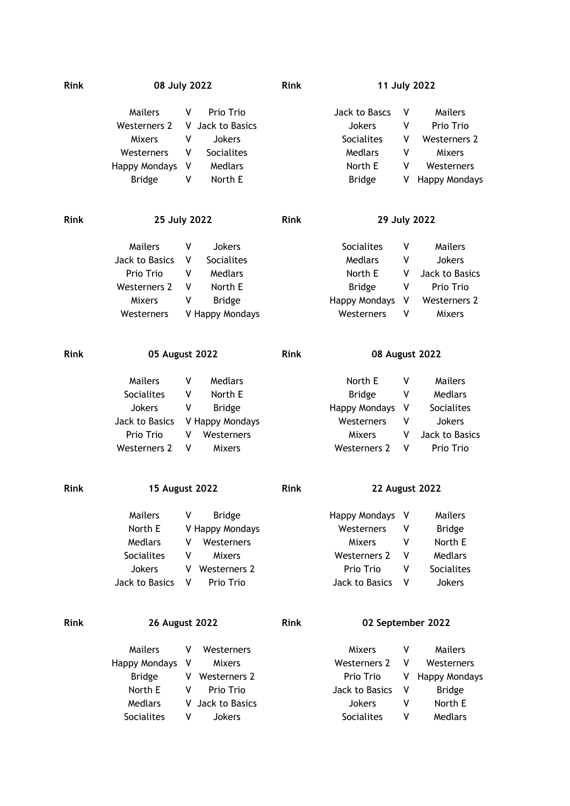| <b>Rink</b> |                       | 08 July 2022             | <b>Rink</b> | 11 July 2022         |                       |                      |  |
|-------------|-----------------------|--------------------------|-------------|----------------------|-----------------------|----------------------|--|
|             | <b>Mailers</b>        | Prio Trio<br>v           |             | Jack to Bascs        | ٧                     | <b>Mailers</b>       |  |
|             | <b>Westerners 2</b>   | V<br>Jack to Basics      |             | <b>Jokers</b>        | ٧                     | Prio Trio            |  |
|             | <b>Mixers</b>         | V<br>Jokers              |             | Socialites           | ۷                     | Westerners 2         |  |
|             | Westerners            | Socialites<br>۷          |             | Medlars              | ۷                     | <b>Mixers</b>        |  |
|             | Happy Mondays         | Medlars<br>V             |             | North E              | v                     | Westerners           |  |
|             | <b>Bridge</b>         | V<br>North E             |             | <b>Bridge</b>        | V                     | <b>Happy Mondays</b> |  |
|             |                       |                          |             |                      |                       |                      |  |
| <b>Rink</b> |                       | 25 July 2022             | <b>Rink</b> | 29 July 2022         |                       |                      |  |
|             | <b>Mailers</b>        | ٧<br>Jokers              |             | <b>Socialites</b>    | ۷                     | Mailers              |  |
|             | Jack to Basics        | Socialites<br>V          |             | Medlars              | ۷                     | Jokers               |  |
|             | Prio Trio             | Medlars<br>V             |             | North E              | v                     | Jack to Basics       |  |
|             | <b>Westerners 2</b>   | North E<br>۷             |             | <b>Bridge</b>        | ٧                     | Prio Trio            |  |
|             | <b>Mixers</b>         | <b>Bridge</b><br>۷       |             | <b>Happy Mondays</b> | ۷                     | <b>Westerners 2</b>  |  |
|             | Westerners            | V Happy Mondays          |             | Westerners           | v                     | <b>Mixers</b>        |  |
| <b>Rink</b> | 05 August 2022        |                          | <b>Rink</b> | 08 August 2022       |                       |                      |  |
|             | <b>Mailers</b>        | Medlars<br>۷             |             | North E              | ۷                     | <b>Mailers</b>       |  |
|             | <b>Socialites</b>     | North E<br>۷             |             | <b>Bridge</b>        | ۷                     | Medlars              |  |
|             | Jokers                | ٧<br><b>Bridge</b>       |             | <b>Happy Mondays</b> | V                     | Socialites           |  |
|             | Jack to Basics        | V Happy Mondays          |             | Westerners           | V                     | <b>Jokers</b>        |  |
|             | Prio Trio             | Westerners<br>V          |             | Mixers               | ۷                     | Jack to Basics       |  |
|             | <b>Westerners 2</b>   | ۷<br><b>Mixers</b>       |             | <b>Westerners 2</b>  | v                     | Prio Trio            |  |
| <b>Rink</b> | 15 August 2022        |                          | <b>Rink</b> |                      | <b>22 August 2022</b> |                      |  |
|             | Mailers               | <b>Bridge</b><br>٧       |             | Happy Mondays        | ۷                     | <b>Mailers</b>       |  |
|             | North E               | V Happy Mondays          |             | Westerners           | ۷                     | <b>Bridge</b>        |  |
|             | Medlars               | Westerners<br>v          |             | <b>Mixers</b>        | ٧                     | North E              |  |
|             | Socialites            | <b>Mixers</b><br>۷       |             | <b>Westerners 2</b>  | ۷                     | Medlars              |  |
|             | <b>Jokers</b>         | Westerners 2<br>v        |             | Prio Trio            | ۷                     | Socialites           |  |
|             | Jack to Basics        | Prio Trio<br>۷           |             | Jack to Basics       | ۷                     | Jokers               |  |
| <b>Rink</b> | <b>26 August 2022</b> |                          | <b>Rink</b> | 02 September 2022    |                       |                      |  |
|             | <b>Mailers</b>        | Westerners<br>V          |             | Mixers               | ۷                     | Mailers              |  |
|             | <b>Happy Mondays</b>  | <b>Mixers</b><br>V       |             | <b>Westerners 2</b>  | V                     | Westerners           |  |
|             | <b>Bridge</b>         | <b>Westerners 2</b><br>V |             | Prio Trio            | V                     | <b>Happy Mondays</b> |  |
|             | North E               | Prio Trio<br>۷           |             | Jack to Basics       | ۷                     | <b>Bridge</b>        |  |
|             | Medlars               | V Jack to Basics         |             | Jokers               | ٧                     | North E              |  |

Socialites V Jokers Socialites V Medlars